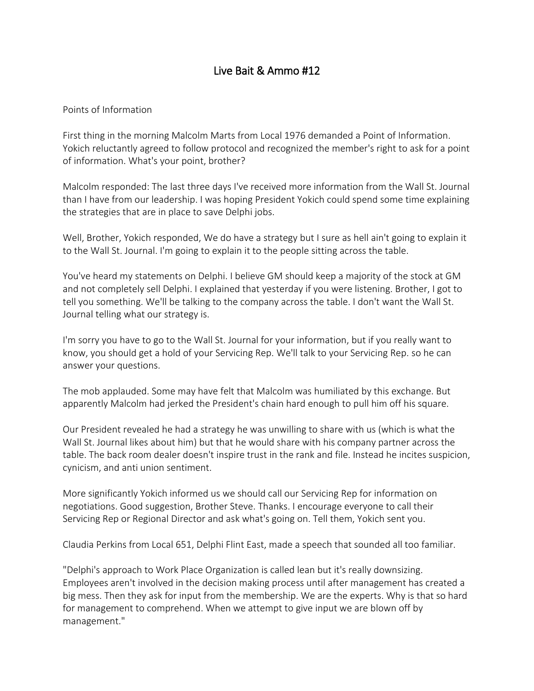## Live Bait & Ammo #12

## Points of Information

First thing in the morning Malcolm Marts from Local 1976 demanded a Point of Information. Yokich reluctantly agreed to follow protocol and recognized the member's right to ask for a point of information. What's your point, brother?

Malcolm responded: The last three days I've received more information from the Wall St. Journal than I have from our leadership. I was hoping President Yokich could spend some time explaining the strategies that are in place to save Delphi jobs.

Well, Brother, Yokich responded, We do have a strategy but I sure as hell ain't going to explain it to the Wall St. Journal. I'm going to explain it to the people sitting across the table.

You've heard my statements on Delphi. I believe GM should keep a majority of the stock at GM and not completely sell Delphi. I explained that yesterday if you were listening. Brother, I got to tell you something. We'll be talking to the company across the table. I don't want the Wall St. Journal telling what our strategy is.

I'm sorry you have to go to the Wall St. Journal for your information, but if you really want to know, you should get a hold of your Servicing Rep. We'll talk to your Servicing Rep. so he can answer your questions.

The mob applauded. Some may have felt that Malcolm was humiliated by this exchange. But apparently Malcolm had jerked the President's chain hard enough to pull him off his square.

Our President revealed he had a strategy he was unwilling to share with us (which is what the Wall St. Journal likes about him) but that he would share with his company partner across the table. The back room dealer doesn't inspire trust in the rank and file. Instead he incites suspicion, cynicism, and anti union sentiment.

More significantly Yokich informed us we should call our Servicing Rep for information on negotiations. Good suggestion, Brother Steve. Thanks. I encourage everyone to call their Servicing Rep or Regional Director and ask what's going on. Tell them, Yokich sent you.

Claudia Perkins from Local 651, Delphi Flint East, made a speech that sounded all too familiar.

"Delphi's approach to Work Place Organization is called lean but it's really downsizing. Employees aren't involved in the decision making process until after management has created a big mess. Then they ask for input from the membership. We are the experts. Why is that so hard for management to comprehend. When we attempt to give input we are blown off by management."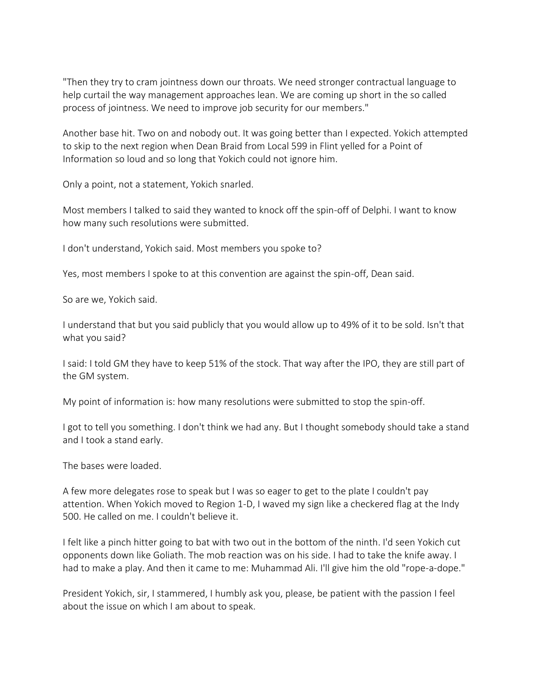"Then they try to cram jointness down our throats. We need stronger contractual language to help curtail the way management approaches lean. We are coming up short in the so called process of jointness. We need to improve job security for our members."

Another base hit. Two on and nobody out. It was going better than I expected. Yokich attempted to skip to the next region when Dean Braid from Local 599 in Flint yelled for a Point of Information so loud and so long that Yokich could not ignore him.

Only a point, not a statement, Yokich snarled.

Most members I talked to said they wanted to knock off the spin-off of Delphi. I want to know how many such resolutions were submitted.

I don't understand, Yokich said. Most members you spoke to?

Yes, most members I spoke to at this convention are against the spin-off, Dean said.

So are we, Yokich said.

I understand that but you said publicly that you would allow up to 49% of it to be sold. Isn't that what you said?

I said: I told GM they have to keep 51% of the stock. That way after the IPO, they are still part of the GM system.

My point of information is: how many resolutions were submitted to stop the spin-off.

I got to tell you something. I don't think we had any. But I thought somebody should take a stand and I took a stand early.

The bases were loaded.

A few more delegates rose to speak but I was so eager to get to the plate I couldn't pay attention. When Yokich moved to Region 1-D, I waved my sign like a checkered flag at the Indy 500. He called on me. I couldn't believe it.

I felt like a pinch hitter going to bat with two out in the bottom of the ninth. I'd seen Yokich cut opponents down like Goliath. The mob reaction was on his side. I had to take the knife away. I had to make a play. And then it came to me: Muhammad Ali. I'll give him the old "rope-a-dope."

President Yokich, sir, I stammered, I humbly ask you, please, be patient with the passion I feel about the issue on which I am about to speak.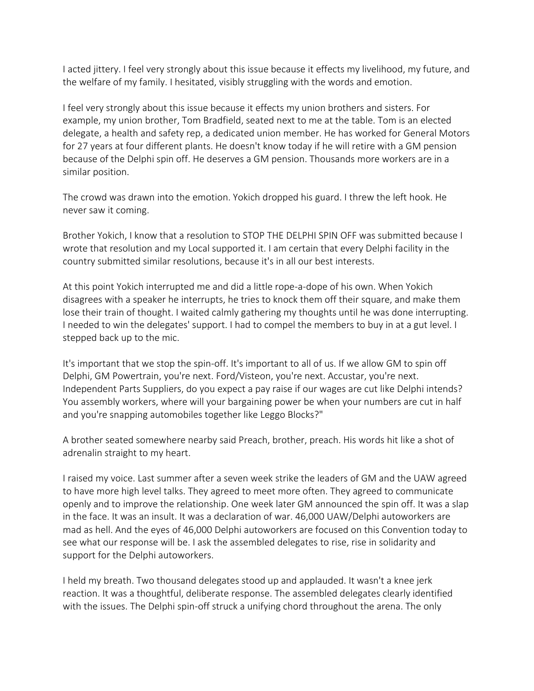I acted jittery. I feel very strongly about this issue because it effects my livelihood, my future, and the welfare of my family. I hesitated, visibly struggling with the words and emotion.

I feel very strongly about this issue because it effects my union brothers and sisters. For example, my union brother, Tom Bradfield, seated next to me at the table. Tom is an elected delegate, a health and safety rep, a dedicated union member. He has worked for General Motors for 27 years at four different plants. He doesn't know today if he will retire with a GM pension because of the Delphi spin off. He deserves a GM pension. Thousands more workers are in a similar position.

The crowd was drawn into the emotion. Yokich dropped his guard. I threw the left hook. He never saw it coming.

Brother Yokich, I know that a resolution to STOP THE DELPHI SPIN OFF was submitted because I wrote that resolution and my Local supported it. I am certain that every Delphi facility in the country submitted similar resolutions, because it's in all our best interests.

At this point Yokich interrupted me and did a little rope-a-dope of his own. When Yokich disagrees with a speaker he interrupts, he tries to knock them off their square, and make them lose their train of thought. I waited calmly gathering my thoughts until he was done interrupting. I needed to win the delegates' support. I had to compel the members to buy in at a gut level. I stepped back up to the mic.

It's important that we stop the spin-off. It's important to all of us. If we allow GM to spin off Delphi, GM Powertrain, you're next. Ford/Visteon, you're next. Accustar, you're next. Independent Parts Suppliers, do you expect a pay raise if our wages are cut like Delphi intends? You assembly workers, where will your bargaining power be when your numbers are cut in half and you're snapping automobiles together like Leggo Blocks?"

A brother seated somewhere nearby said Preach, brother, preach. His words hit like a shot of adrenalin straight to my heart.

I raised my voice. Last summer after a seven week strike the leaders of GM and the UAW agreed to have more high level talks. They agreed to meet more often. They agreed to communicate openly and to improve the relationship. One week later GM announced the spin off. It was a slap in the face. It was an insult. It was a declaration of war. 46,000 UAW/Delphi autoworkers are mad as hell. And the eyes of 46,000 Delphi autoworkers are focused on this Convention today to see what our response will be. I ask the assembled delegates to rise, rise in solidarity and support for the Delphi autoworkers.

I held my breath. Two thousand delegates stood up and applauded. It wasn't a knee jerk reaction. It was a thoughtful, deliberate response. The assembled delegates clearly identified with the issues. The Delphi spin-off struck a unifying chord throughout the arena. The only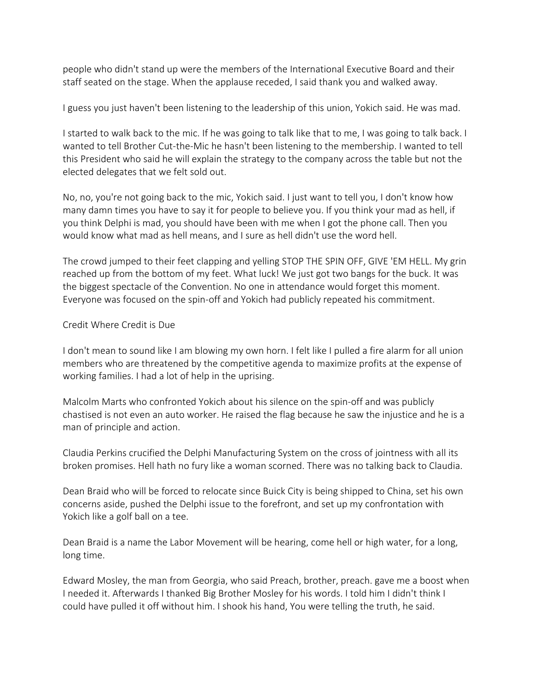people who didn't stand up were the members of the International Executive Board and their staff seated on the stage. When the applause receded, I said thank you and walked away.

I guess you just haven't been listening to the leadership of this union, Yokich said. He was mad.

I started to walk back to the mic. If he was going to talk like that to me, I was going to talk back. I wanted to tell Brother Cut-the-Mic he hasn't been listening to the membership. I wanted to tell this President who said he will explain the strategy to the company across the table but not the elected delegates that we felt sold out.

No, no, you're not going back to the mic, Yokich said. I just want to tell you, I don't know how many damn times you have to say it for people to believe you. If you think your mad as hell, if you think Delphi is mad, you should have been with me when I got the phone call. Then you would know what mad as hell means, and I sure as hell didn't use the word hell.

The crowd jumped to their feet clapping and yelling STOP THE SPIN OFF, GIVE 'EM HELL. My grin reached up from the bottom of my feet. What luck! We just got two bangs for the buck. It was the biggest spectacle of the Convention. No one in attendance would forget this moment. Everyone was focused on the spin-off and Yokich had publicly repeated his commitment.

## Credit Where Credit is Due

I don't mean to sound like I am blowing my own horn. I felt like I pulled a fire alarm for all union members who are threatened by the competitive agenda to maximize profits at the expense of working families. I had a lot of help in the uprising.

Malcolm Marts who confronted Yokich about his silence on the spin-off and was publicly chastised is not even an auto worker. He raised the flag because he saw the injustice and he is a man of principle and action.

Claudia Perkins crucified the Delphi Manufacturing System on the cross of jointness with all its broken promises. Hell hath no fury like a woman scorned. There was no talking back to Claudia.

Dean Braid who will be forced to relocate since Buick City is being shipped to China, set his own concerns aside, pushed the Delphi issue to the forefront, and set up my confrontation with Yokich like a golf ball on a tee.

Dean Braid is a name the Labor Movement will be hearing, come hell or high water, for a long, long time.

Edward Mosley, the man from Georgia, who said Preach, brother, preach. gave me a boost when I needed it. Afterwards I thanked Big Brother Mosley for his words. I told him I didn't think I could have pulled it off without him. I shook his hand, You were telling the truth, he said.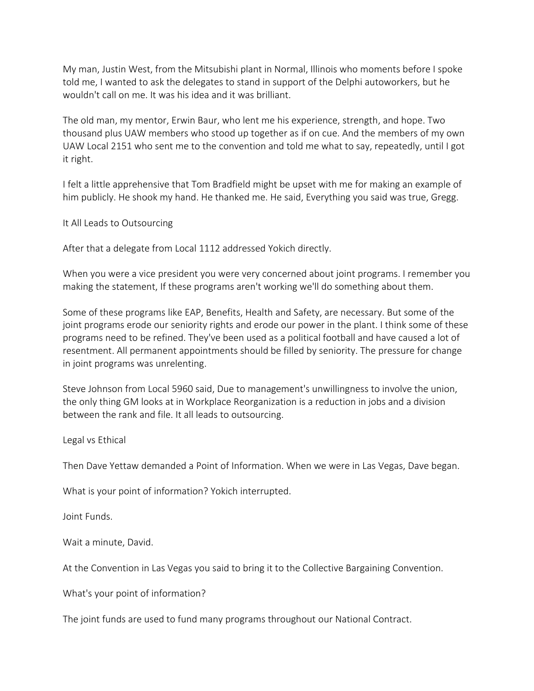My man, Justin West, from the Mitsubishi plant in Normal, Illinois who moments before I spoke told me, I wanted to ask the delegates to stand in support of the Delphi autoworkers, but he wouldn't call on me. It was his idea and it was brilliant.

The old man, my mentor, Erwin Baur, who lent me his experience, strength, and hope. Two thousand plus UAW members who stood up together as if on cue. And the members of my own UAW Local 2151 who sent me to the convention and told me what to say, repeatedly, until I got it right.

I felt a little apprehensive that Tom Bradfield might be upset with me for making an example of him publicly. He shook my hand. He thanked me. He said, Everything you said was true, Gregg.

It All Leads to Outsourcing

After that a delegate from Local 1112 addressed Yokich directly.

When you were a vice president you were very concerned about joint programs. I remember you making the statement, If these programs aren't working we'll do something about them.

Some of these programs like EAP, Benefits, Health and Safety, are necessary. But some of the joint programs erode our seniority rights and erode our power in the plant. I think some of these programs need to be refined. They've been used as a political football and have caused a lot of resentment. All permanent appointments should be filled by seniority. The pressure for change in joint programs was unrelenting.

Steve Johnson from Local 5960 said, Due to management's unwillingness to involve the union, the only thing GM looks at in Workplace Reorganization is a reduction in jobs and a division between the rank and file. It all leads to outsourcing.

Legal vs Ethical

Then Dave Yettaw demanded a Point of Information. When we were in Las Vegas, Dave began.

What is your point of information? Yokich interrupted.

Joint Funds.

Wait a minute, David.

At the Convention in Las Vegas you said to bring it to the Collective Bargaining Convention.

What's your point of information?

The joint funds are used to fund many programs throughout our National Contract.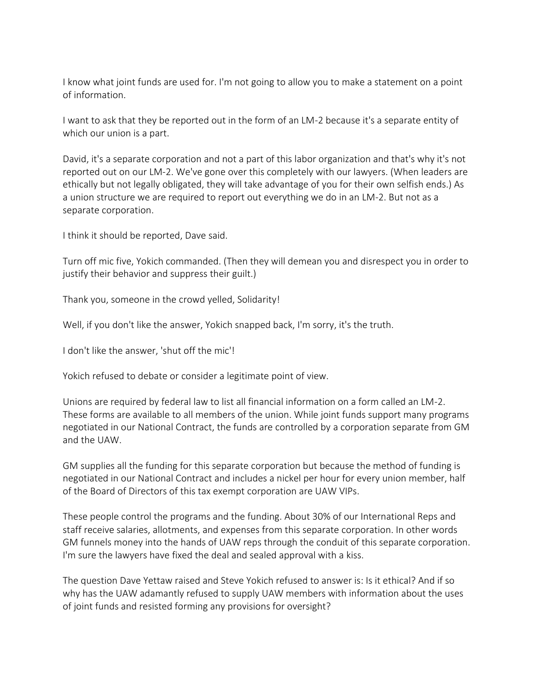I know what joint funds are used for. I'm not going to allow you to make a statement on a point of information.

I want to ask that they be reported out in the form of an LM-2 because it's a separate entity of which our union is a part.

David, it's a separate corporation and not a part of this labor organization and that's why it's not reported out on our LM-2. We've gone over this completely with our lawyers. (When leaders are ethically but not legally obligated, they will take advantage of you for their own selfish ends.) As a union structure we are required to report out everything we do in an LM-2. But not as a separate corporation.

I think it should be reported, Dave said.

Turn off mic five, Yokich commanded. (Then they will demean you and disrespect you in order to justify their behavior and suppress their guilt.)

Thank you, someone in the crowd yelled, Solidarity!

Well, if you don't like the answer, Yokich snapped back, I'm sorry, it's the truth.

I don't like the answer, 'shut off the mic'!

Yokich refused to debate or consider a legitimate point of view.

Unions are required by federal law to list all financial information on a form called an LM-2. These forms are available to all members of the union. While joint funds support many programs negotiated in our National Contract, the funds are controlled by a corporation separate from GM and the UAW.

GM supplies all the funding for this separate corporation but because the method of funding is negotiated in our National Contract and includes a nickel per hour for every union member, half of the Board of Directors of this tax exempt corporation are UAW VIPs.

These people control the programs and the funding. About 30% of our International Reps and staff receive salaries, allotments, and expenses from this separate corporation. In other words GM funnels money into the hands of UAW reps through the conduit of this separate corporation. I'm sure the lawyers have fixed the deal and sealed approval with a kiss.

The question Dave Yettaw raised and Steve Yokich refused to answer is: Is it ethical? And if so why has the UAW adamantly refused to supply UAW members with information about the uses of joint funds and resisted forming any provisions for oversight?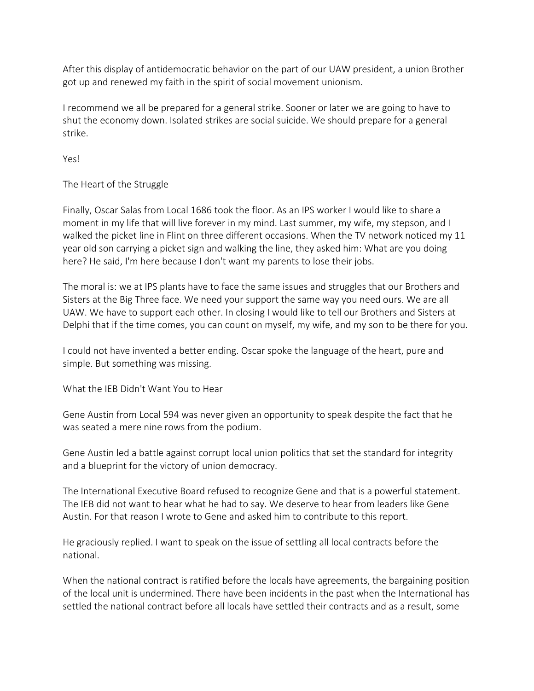After this display of antidemocratic behavior on the part of our UAW president, a union Brother got up and renewed my faith in the spirit of social movement unionism.

I recommend we all be prepared for a general strike. Sooner or later we are going to have to shut the economy down. Isolated strikes are social suicide. We should prepare for a general strike.

Yes!

The Heart of the Struggle

Finally, Oscar Salas from Local 1686 took the floor. As an IPS worker I would like to share a moment in my life that will live forever in my mind. Last summer, my wife, my stepson, and I walked the picket line in Flint on three different occasions. When the TV network noticed my 11 year old son carrying a picket sign and walking the line, they asked him: What are you doing here? He said, I'm here because I don't want my parents to lose their jobs.

The moral is: we at IPS plants have to face the same issues and struggles that our Brothers and Sisters at the Big Three face. We need your support the same way you need ours. We are all UAW. We have to support each other. In closing I would like to tell our Brothers and Sisters at Delphi that if the time comes, you can count on myself, my wife, and my son to be there for you.

I could not have invented a better ending. Oscar spoke the language of the heart, pure and simple. But something was missing.

What the IEB Didn't Want You to Hear

Gene Austin from Local 594 was never given an opportunity to speak despite the fact that he was seated a mere nine rows from the podium.

Gene Austin led a battle against corrupt local union politics that set the standard for integrity and a blueprint for the victory of union democracy.

The International Executive Board refused to recognize Gene and that is a powerful statement. The IEB did not want to hear what he had to say. We deserve to hear from leaders like Gene Austin. For that reason I wrote to Gene and asked him to contribute to this report.

He graciously replied. I want to speak on the issue of settling all local contracts before the national.

When the national contract is ratified before the locals have agreements, the bargaining position of the local unit is undermined. There have been incidents in the past when the International has settled the national contract before all locals have settled their contracts and as a result, some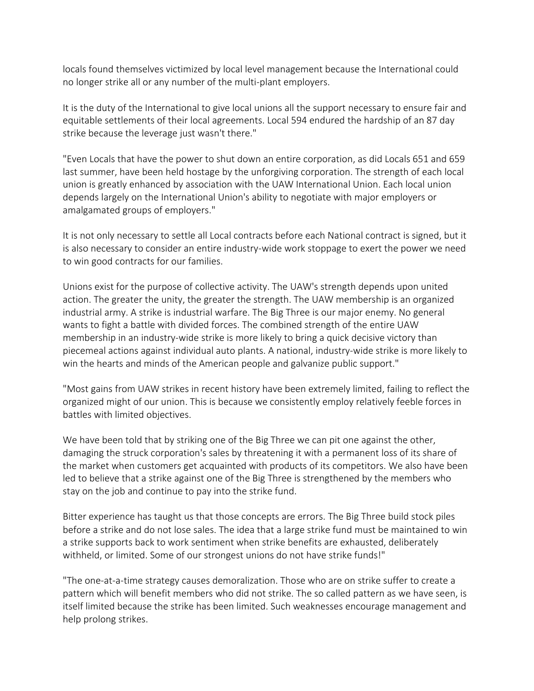locals found themselves victimized by local level management because the International could no longer strike all or any number of the multi-plant employers.

It is the duty of the International to give local unions all the support necessary to ensure fair and equitable settlements of their local agreements. Local 594 endured the hardship of an 87 day strike because the leverage just wasn't there."

"Even Locals that have the power to shut down an entire corporation, as did Locals 651 and 659 last summer, have been held hostage by the unforgiving corporation. The strength of each local union is greatly enhanced by association with the UAW International Union. Each local union depends largely on the International Union's ability to negotiate with major employers or amalgamated groups of employers."

It is not only necessary to settle all Local contracts before each National contract is signed, but it is also necessary to consider an entire industry-wide work stoppage to exert the power we need to win good contracts for our families.

Unions exist for the purpose of collective activity. The UAW's strength depends upon united action. The greater the unity, the greater the strength. The UAW membership is an organized industrial army. A strike is industrial warfare. The Big Three is our major enemy. No general wants to fight a battle with divided forces. The combined strength of the entire UAW membership in an industry-wide strike is more likely to bring a quick decisive victory than piecemeal actions against individual auto plants. A national, industry-wide strike is more likely to win the hearts and minds of the American people and galvanize public support."

"Most gains from UAW strikes in recent history have been extremely limited, failing to reflect the organized might of our union. This is because we consistently employ relatively feeble forces in battles with limited objectives.

We have been told that by striking one of the Big Three we can pit one against the other, damaging the struck corporation's sales by threatening it with a permanent loss of its share of the market when customers get acquainted with products of its competitors. We also have been led to believe that a strike against one of the Big Three is strengthened by the members who stay on the job and continue to pay into the strike fund.

Bitter experience has taught us that those concepts are errors. The Big Three build stock piles before a strike and do not lose sales. The idea that a large strike fund must be maintained to win a strike supports back to work sentiment when strike benefits are exhausted, deliberately withheld, or limited. Some of our strongest unions do not have strike funds!"

"The one-at-a-time strategy causes demoralization. Those who are on strike suffer to create a pattern which will benefit members who did not strike. The so called pattern as we have seen, is itself limited because the strike has been limited. Such weaknesses encourage management and help prolong strikes.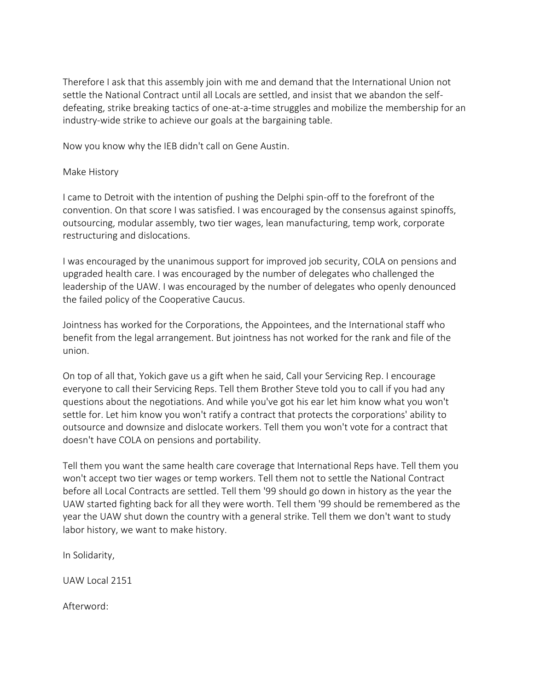Therefore I ask that this assembly join with me and demand that the International Union not settle the National Contract until all Locals are settled, and insist that we abandon the selfdefeating, strike breaking tactics of one-at-a-time struggles and mobilize the membership for an industry-wide strike to achieve our goals at the bargaining table.

Now you know why the IEB didn't call on Gene Austin.

## Make History

I came to Detroit with the intention of pushing the Delphi spin-off to the forefront of the convention. On that score I was satisfied. I was encouraged by the consensus against spinoffs, outsourcing, modular assembly, two tier wages, lean manufacturing, temp work, corporate restructuring and dislocations.

I was encouraged by the unanimous support for improved job security, COLA on pensions and upgraded health care. I was encouraged by the number of delegates who challenged the leadership of the UAW. I was encouraged by the number of delegates who openly denounced the failed policy of the Cooperative Caucus.

Jointness has worked for the Corporations, the Appointees, and the International staff who benefit from the legal arrangement. But jointness has not worked for the rank and file of the union.

On top of all that, Yokich gave us a gift when he said, Call your Servicing Rep. I encourage everyone to call their Servicing Reps. Tell them Brother Steve told you to call if you had any questions about the negotiations. And while you've got his ear let him know what you won't settle for. Let him know you won't ratify a contract that protects the corporations' ability to outsource and downsize and dislocate workers. Tell them you won't vote for a contract that doesn't have COLA on pensions and portability.

Tell them you want the same health care coverage that International Reps have. Tell them you won't accept two tier wages or temp workers. Tell them not to settle the National Contract before all Local Contracts are settled. Tell them '99 should go down in history as the year the UAW started fighting back for all they were worth. Tell them '99 should be remembered as the year the UAW shut down the country with a general strike. Tell them we don't want to study labor history, we want to make history.

In Solidarity,

UAW Local 2151

Afterword: